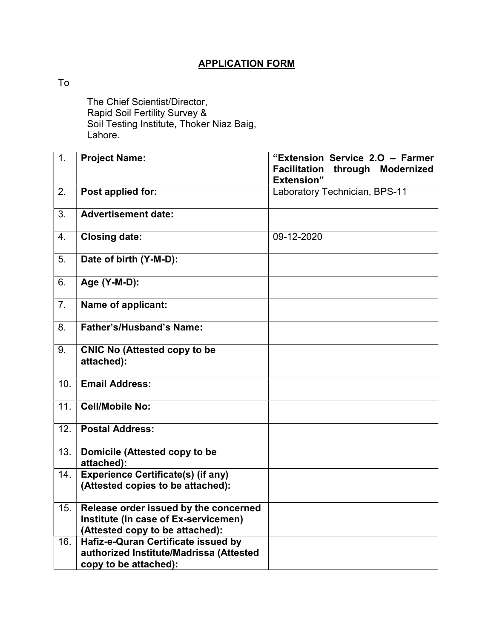## APPLICATION FORM

To

 The Chief Scientist/Director, Rapid Soil Fertility Survey & Soil Testing Institute, Thoker Niaz Baig, Lahore.

| 1.                | <b>Project Name:</b>                                                                                             | "Extension Service 2.0 - Farmer<br><b>Facilitation</b><br>through<br><b>Modernized</b><br><b>Extension"</b> |
|-------------------|------------------------------------------------------------------------------------------------------------------|-------------------------------------------------------------------------------------------------------------|
| 2.                | Post applied for:                                                                                                | Laboratory Technician, BPS-11                                                                               |
| 3.                | <b>Advertisement date:</b>                                                                                       |                                                                                                             |
| 4.                | <b>Closing date:</b>                                                                                             | 09-12-2020                                                                                                  |
| 5.                | Date of birth (Y-M-D):                                                                                           |                                                                                                             |
| 6.                | Age (Y-M-D):                                                                                                     |                                                                                                             |
| 7.                | Name of applicant:                                                                                               |                                                                                                             |
| 8.                | <b>Father's/Husband's Name:</b>                                                                                  |                                                                                                             |
| 9.                | <b>CNIC No (Attested copy to be</b><br>attached):                                                                |                                                                                                             |
| 10.               | <b>Email Address:</b>                                                                                            |                                                                                                             |
| 11.               | <b>Cell/Mobile No:</b>                                                                                           |                                                                                                             |
| $\overline{12}$ . | <b>Postal Address:</b>                                                                                           |                                                                                                             |
| 13.               | Domicile (Attested copy to be<br>attached):                                                                      |                                                                                                             |
| 14.               | <b>Experience Certificate(s) (if any)</b><br>(Attested copies to be attached):                                   |                                                                                                             |
| 15.               | Release order issued by the concerned<br>Institute (In case of Ex-servicemen)<br>(Attested copy to be attached): |                                                                                                             |
| 16.               | Hafiz-e-Quran Certificate issued by<br>authorized Institute/Madrissa (Attested<br>copy to be attached):          |                                                                                                             |